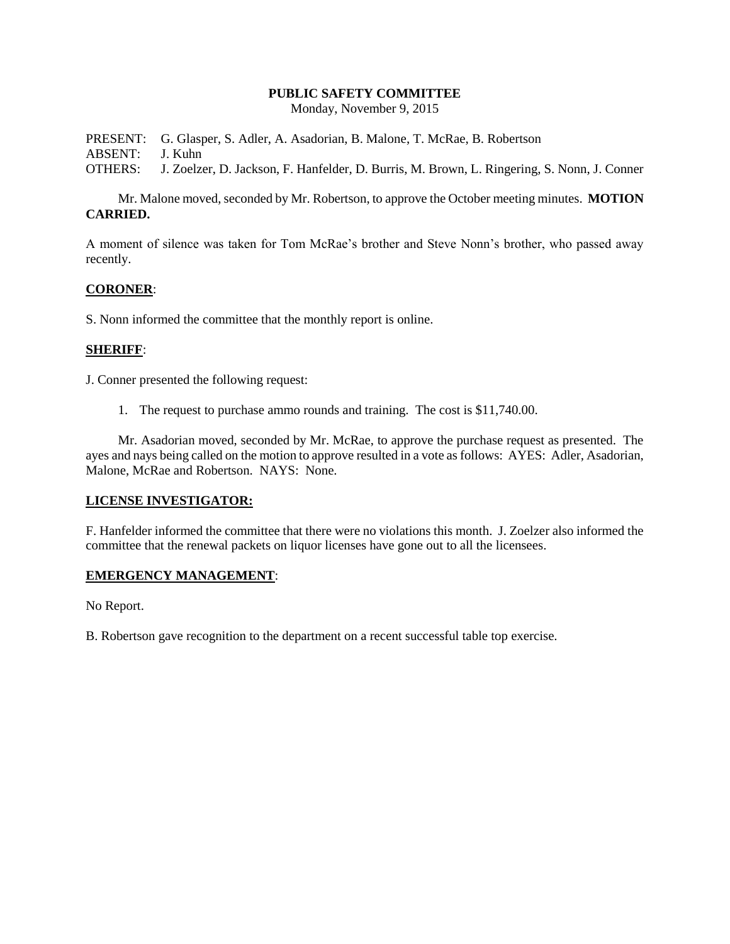#### **PUBLIC SAFETY COMMITTEE**

Monday, November 9, 2015

PRESENT: G. Glasper, S. Adler, A. Asadorian, B. Malone, T. McRae, B. Robertson ABSENT: J. Kuhn OTHERS: J. Zoelzer, D. Jackson, F. Hanfelder, D. Burris, M. Brown, L. Ringering, S. Nonn, J. Conner

Mr. Malone moved, seconded by Mr. Robertson, to approve the October meeting minutes. **MOTION CARRIED.**

A moment of silence was taken for Tom McRae's brother and Steve Nonn's brother, who passed away recently.

### **CORONER**:

S. Nonn informed the committee that the monthly report is online.

### **SHERIFF**:

J. Conner presented the following request:

1. The request to purchase ammo rounds and training. The cost is \$11,740.00.

Mr. Asadorian moved, seconded by Mr. McRae, to approve the purchase request as presented. The ayes and nays being called on the motion to approve resulted in a vote as follows: AYES: Adler, Asadorian, Malone, McRae and Robertson. NAYS: None.

### **LICENSE INVESTIGATOR:**

F. Hanfelder informed the committee that there were no violations this month. J. Zoelzer also informed the committee that the renewal packets on liquor licenses have gone out to all the licensees.

#### **EMERGENCY MANAGEMENT**:

No Report.

B. Robertson gave recognition to the department on a recent successful table top exercise.